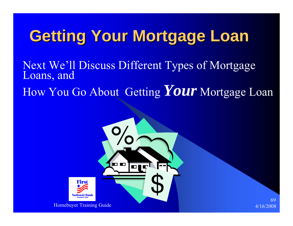## **Getting Your Mortgage Loan Getting Your Mortgage Loan**

Next We'll Discuss Different Types of Mortgage Loans, and

How You Go About Getting *Your* Mortgage Loan

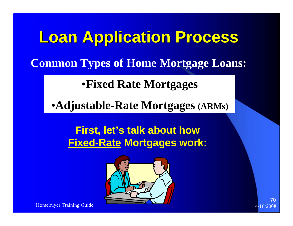**Loan Application Process Loan Application Process Common Types of Home Mortgage Loans:**

•**Fixed Rate Mortgages**

•**Adjustable-Rate Mortgages (ARMs)**

**First, let's talk about how Fixed-Rate Mortgages work:**

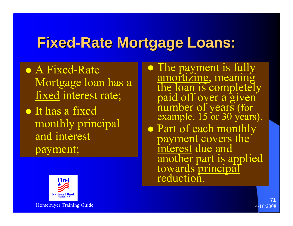### **Fixed -Rate Mortgage Loans: Rate Mortgage Loans:**

- A Fixed-Rate Mortgage loan has a fixed interest rate;
- $\bullet$  It has a fixed monthly principal and interest payment;
- $\bullet$ The payment is <u>fully</u><br>amortizing, meaning<br>the loan is completely<br>paid off over a given<br>number of years (for<br>example, 15 or 30 years).
- Part of each monthly<br>payment covers the<br>interest due and another part is applied<br>towards principal<br>reduction.



Homebuyer Training Guide 4/16/2008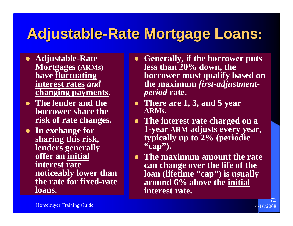### **Adjustable Adjustable -Rate Mortgage Loans Rate Mortgage Loans :**

- **Adjustable-Rate Mortgages (ARMs) have fluctuating interest rates** *and* **changing payments.**
- **The lender and the borrower share the risk of rate changes.**
- **•** In exchange for **sharing this risk, lenders generally offer an initial interest rate noticeably lower than the rate for fixed-rate loans.**
- **Generally, if the borrower puts less than 20% down, the borrower must qualify based on the maximum** *first-adjustmentperiod* **rate.**
- There are 1, 3, and 5 year **ARMs.**
- The interest rate charged on a **1-year ARM adjusts every year, typically up to 2% (periodic "cap").**
- **The maximum amount the rate can change over the life of the loan (lifetime "cap") is usually around 6% above the initial interest rate.**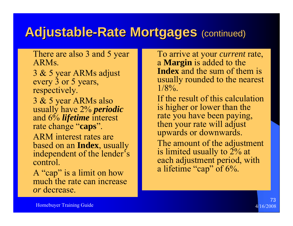### **Adjustable-Rate Mortgages (continued)**

 There are also 3 and 5 year ARMs.

 3 & 5 year ARMs adjust every 3 or 5 years, respectively.

 3 & 5 year ARMs also usually have 2% *periodic* and 6% *lifetime* interest rate change "**caps**".

 ARM interest rates are based on an **Index**, usually independent of the lender's control.

 A "cap" is a limit on how much the rate can increase *or* decrease.

 To arrive at your *current* rate, <sup>a</sup>**Margin** is added to the **Index** and the sum of them is usually rounded to the nearest  $1/8\%$ .

 If the result of this calculation is higher or lower than the rate you have been paying, then your rate will adjust upwards or downwards.

 The amount of the adjustment is limited usually to 2% at each adjustment period, with a lifetime "cap" of 6%.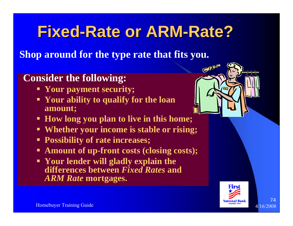### **Fixed-Rate or ARM-Rate?**

**Shop around for the type rate that fits you.**

### **Consider the following:**

- **Your payment security;**
- **Your ability to qualify for the loan amount;**
- **How long you plan to live in this home;**
- **Whether your income is stable or rising;**
- **Possibility of rate increases;**
- **Amount of up-front costs (closing costs);**
- **Your lender will gladly explain the differences between** *Fixed Rates* **and**  *ARM Rate* **mortgages.**



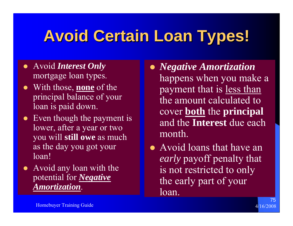## **Avoid Certain Loan Types! Avoid Certain Loan Types!**

- **•** Avoid *Interest Only* mortgage loan types.
- With those, **<u>none</u>** of the principal balance of your loan is paid down.
- $\bullet$  Even though the payment is lower, after a year or two you will **still owe** as much as the day you got your loan!
- Avoid any loan with the potential for *Negative Amortization*.
- z *Negative Amortization* happens when you make a payment that is less than the amount calculated to cover **both** the **principal** and the **Interest** due each month.
- $\bullet$  Avoid loans that have an *early* payoff penalty that is not restricted to only the early part of your loan.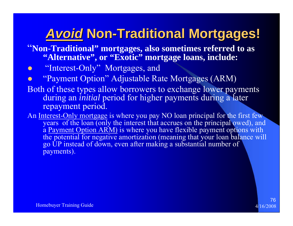### *Avoid***Non-Traditional Mortgages! Traditional Mortgages!**

- "**Non-Traditional" mortgages, also sometimes referred to as "Alternative", or "Exotic" mortgage loans, include:**
- $\bullet$ "Interest-Only" Mortgages, and
- $\bullet$ "Payment Option" Adjustable Rate Mortgages (ARM)
- Both of these types allow borrowers to exchange lower payments during an *initial* period for higher payments during a later repayment period.
- An Interest-Only mortgage is where you pay NO loan principal for the first few years of the loan (only the interest that accrues on the principal owed), and a Payment Option ARM) is where you have flexible payment options with the potential for negative amortization (meaning that your loan balance will go UP instead of down, even after making a substantial number of payments).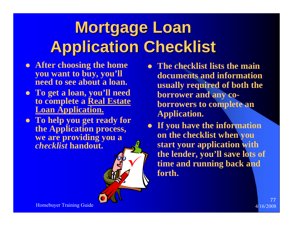# **Mortgage Loan Application Checklist Application Checklist**

- **After choosing the home you want to buy, you'll need to see about a loan.**
- z **To get a loan, you'll need to complete a Real Estate Loan Application.**
- **To help you get ready for the Application process, we are providing you a**  *checklist* **handout.**
- $\bullet$  **The checklist lists the main documents and information usually required of both the borrower and any coborrowers to complete an Application.**
- **If you have the information on the checklist when you start your application with the lender, you'll save lots of time and running back and forth.**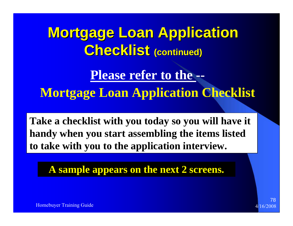**Mortgage Loan Application Mortgage Loan Application**   $C$ **hecklist** (continued)

**Please refer to the --**

**Mortgage Loan Application Checklist**

**Take a checklist with you today so you will have it handy when you start assembling the items listed to take with you to the application interview.**

**A sample appears on the next 2 screens.**

Homebuyer Training Guide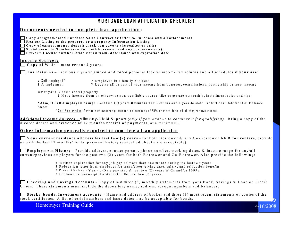#### MORTGAGE LOAN APPLICATION CHECKLIST

#### **D ocum ents needed to com plete loan application :**

**C opy of signed/dated Purchase Sales C ontract or O ffer to Purchase and all attachm ents** 

**R ealtor L isting of the property or a property Inform ation L isting** 

**C opy of earnest m oney deposit check you gave to the realtor or seller** 

 $\Box$  Social Security Number(s) – For both borrower and any co-borrower(s).

 **D river's L icense num ber, state issued from , date issued and expiration date** 

**Incom e Sources:**

**C opy of W -2s** – **<sup>m</sup> ost recent 2 years.**

**Tax R eturns –** Previous 2 years' *singed and dated* personal federal incom e tax returns and all schedules **if your are:**

**?** S elf-em ployed\* **?** Em <sup>p</sup>loyed in a fam ily business

? Receive all or part of your income from bonuses, commissions, partnership or trust income

**O r if you: ?** O <sup>w</sup> n rental property

? Have income from an otherwise non-verifiable source, like corporate ownership, installment sales and tips.

**\*A lso** , **if Self-E <sup>m</sup> ployed bring:** Last tw o (2) years *B usiness* Tax R eturns and a year-to-date P rofit/Loss Statem ent & B alance Sheet.

\* <u>S elf-Employed is:</u> Anyone with ownership interest in a company of 25% or more, from which they receive income.

*A dditional Incom e Sources -* A lim on y /C hild Support *(only if you w ant us to consider it for qualifying).* B ring a copy of the divorce decree and **evidence of 12 m onths receipt of paym ents**, at a m inim um .

#### **O ther inform ation generally required to com plete a loan application**

**Y our current residence address for last tw o (2) years** - for both B orrow er & any C o-B orrow er **A N D for renters**, provide us w ith the last 12 m onths' rental paym ent history (cancelled checks are acceptable).

**E <sup>m</sup> ploym ent H istory -** Provide address, contact person, phone num ber, w orking dates, & incom e range for any/all current/previous em ployers for the past tw o (2) years for both B orrow er and C o-B orrow er. A lso provide the follow ing:

- **?** W ritten explanation for any job gap of m ore than one m onth during the last tw o years
- **?** R elocation letter from em plo yer for transferees-giving date, salary, and relocation benefits
- **?** P resent Salary Y ear-to-D ate pay stub & last tw o (2) years W -2s and/or 1099s.
- **?** D iplom a or transcript if a student in the last tw o (2) years.

**C hecking and Savings A ccounts -** C opy of last three (3) m onthly statem ents from your B ank, Savings & Loan or C redit U nion. T hese statem ents m ust include the depository nam e, address, account num bers and balances.

**Stocks, bonds, Investment accounts – Name and address of broker and three (3) most recent statements or copies of the** stock certificates. A list of serial num bers and issue dates m ay be acceptable for bonds.

. 9

Homebuyer Training Guide 4/16/2008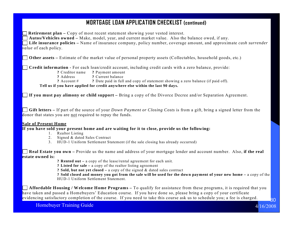#### **MORTGAGE LOAN APPLICATION CHECKLIST (continued)**

**Retirement plan – Copy of most recent statement showing your vested interest.** 

**Autos/Vehicles owned –** Make, model, year, and current market value. Also the balance owed, if any.

**Life insurance policies –** Name of insurance company, policy number, coverage amount, and approximate *cash surrender value* of each policy.

**Other assets –** Estimate of the market value of personal property assets (Collectables, household goods, etc.)

**Credit information -** For each loan/credit account, including credit cards with a zero balance, provide:

- **?** Creditor name **?** Payment amount
- **?** Address **?** Current balance

**?** Account # **?** Date paid in full and copy of statement showing a zero balance (if paid off).

**Tell us if you have applied for credit anywhere else within the last 90 days.** 

 **If you must pay alimony or child support –** Bring a copy of the Divorce Decree and/or Separation Agreement.

 **Gift letters –** If part of the source of your *Down Payment or Closing Costs* is from a gift, bring a signed letter from the donor that states you are not required to repay the funds.

#### **Sale of Present Home**

**If you have sold your present home and are waiting for it to close, provide us the following:** 

- 1. Realtor Listing
- 2. Signed & dated Sales Contract
- 3. HUD-1 Uniform Settlement Statement (if the sale closing has already occurred)

 **Real Estate you own –** Provide us the name and address of your mortgage lender and account number. Also, **if the real estate owned is:**

- **? Rented out** a copy of the lease/rental agreement for each unit.
- **? Listed for sale** a copy of the realtor listing agreement

**? Sold, but not yet closed –** a copy of the signed & dated sales contract

**? Sold closed and money you got from the sale will be used for the down payment of your new home –** a copy of the HUD-1 Uniform Settlement Statement.

 **Affordable Housing / Welcome Home Programs –** To qualify for assistance from these programs, it is required that you have taken and passed a Homebuyers' Education course. If you have done so, please bring a copy of your certificate evidencing satisfactory completion of the course. If you need to take this course ask us to schedule you; a fee is charged.

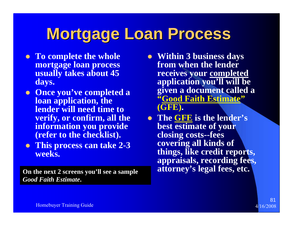## **Mortgage Loan Process Mortgage Loan Process**

- **To complete the whole mortgage loan process usually takes about 45 days.**
- **Once you've completed a loan application, the lender will need time to verify, or confirm, all the information you provide (refer to the checklist).**
- $\bullet$  **This process can take 2-3 weeks.**

**On the next 2 screens you'll see a sample** *Good Faith Estimate***.** 

- Within 3 business days **from when the lender receives your completed application you'll will be given a document called a "Good Faith Estimate" (GFE).**
- z **The GFE is the lender's best estimate of your closing costs--fees covering all kinds of things, like credit reports, appraisals, recording fees,**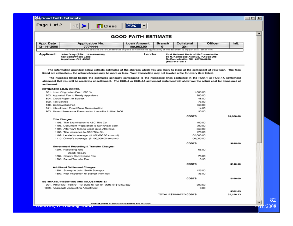| ig Lood Faith Estimate        |                                                                                                                                             |                                  |                    |                                                                                                                                        |         |       | - 1 |  |
|-------------------------------|---------------------------------------------------------------------------------------------------------------------------------------------|----------------------------------|--------------------|----------------------------------------------------------------------------------------------------------------------------------------|---------|-------|-----|--|
| Page 1 of 2                   | $\prec$<br>$\Box$ Close                                                                                                                     | 25%                              |                    |                                                                                                                                        |         |       |     |  |
| <b>GOOD FAITH ESTIMATE</b>    |                                                                                                                                             |                                  |                    |                                                                                                                                        |         |       |     |  |
| App. Date<br>$12 - 14 - 2005$ | <b>Application No.</b><br>7774444                                                                                                           | <b>Loan Amount</b><br>100.963.00 | <b>Branch</b><br>o | Collateral<br>201                                                                                                                      | Officer | Init. |     |  |
|                               | References in the shaded area are for Lender's use only and do not limit the applicability of this document to any particular loan or item. |                                  |                    |                                                                                                                                        |         |       |     |  |
| Applicant:                    | John Doey (SSN: 123-45-6789)<br>123 Somewhere Lane<br>Anywhere, OH 43000                                                                    | Lender:                          |                    | <b>First National Bank of McConnelsville</b><br>86 N. Kennebec Avenue, PO Box 208<br>McConnelsville, OH 43756-0208<br>$(800)$ 441-3811 |         |       |     |  |

The information provided below reflects estimates of the charges which you are likely to incur at the settlement of your loan. The fees listed are estimates - the actual charges may be more or less. Your transaction may not involve a fee for every item listed.

The numbers listed beside the estimates generally correspond to the numbered lines contained in the HUD-1 or HUD-1A settlement statement that you will be receiving at settlement. The HUD-1 or HUD-1A settlement statement will show you the actual cost for items paid at settlement.

| <b>ESTIMATED LOAN COSTS:</b>                              |                              |                        |
|-----------------------------------------------------------|------------------------------|------------------------|
| 801. Loan Origination Fee 1.000 %                         | 1,000.00                     |                        |
| 803. Appraisal Fee to Ready Appraisers                    | 200.00                       |                        |
| 804. Credit Report to Equitax                             | 48.00                        |                        |
| 809. Tax Service                                          | 76.00                        |                        |
| 810. Underwriting Fee                                     | 250.00                       |                        |
| 811. Life of Loan Flood Zone Determination                | 14.00                        |                        |
| 903. Hazard Insurance Premium for 1 months to 01-12-06    | 50.00                        |                        |
|                                                           | <b>COSTS</b>                 | \$1,638.00             |
| <b>Title Charges:</b>                                     |                              |                        |
| 1103. Title Examination to ABC Title Co.                  | 100.00                       |                        |
| 1105. Document Preparation to Sunnyvale Bank.             | 200.00                       |                        |
| 1107. Attorney's fees to Legal Guys Attorneys             | 350.00                       |                        |
| 1108. Title insurance to ABC Title Co.                    | 175.00                       |                        |
| 1109. Lender's coverage (\$ 102,000.00 amount)            | 102,000.00                   |                        |
| 1110. Owner's coverage (\$ 100,000.00 amount)             | 100,000.00                   |                        |
|                                                           |                              |                        |
|                                                           | <b>COSTS</b>                 | \$825.00               |
| Government Recording & Transfer Charges:                  |                              |                        |
| 1201. Recording fees                                      | 65.00                        |                        |
| Deed: \$65.00                                             |                              |                        |
| 1204. County Conveyance Fee                               | 75.00                        |                        |
| 1205. Parcel Transfer Fee                                 | 0.50                         |                        |
|                                                           | <b>COSTS</b>                 | \$140.50               |
| Additional Settlement Charges:                            |                              |                        |
| 1301. Survey to John Smith Surveyor                       | 125.00                       |                        |
| 1302. Pest inspection to Stampt them out!                 | 35.00                        |                        |
|                                                           | <b>COSTS</b>                 | \$160.00               |
| <b>ESTIMATED RESERVES AND ADJUSTMENTS:</b>                |                              |                        |
| 901. INTEREST from 01-12-2006 to 02-01-2006 @ \$19.63/day | 392.63                       |                        |
| 1008. Aggregate Accounting Adjustment                     | 0.00                         |                        |
|                                                           | <b>TOTAL ESTIMATED COSTS</b> | \$392.63<br>\$3,156.13 |

<u>4/10/2008</u>

×

∽

82

**Brazil**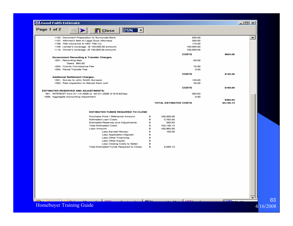| LL Good Faith Estimate |  |
|------------------------|--|
|                        |  |

| <b>14.</b> Good Faith Estimate                            |                              | $ \Box$ $\times$                     |
|-----------------------------------------------------------|------------------------------|--------------------------------------|
| Page 1 of 2<br>25%<br>$\blacksquare$ Close                |                              |                                      |
| 1105. Document Preparation to Sunnyvale Bank              | 200.00                       | $\left  \rule{0.2cm}{0.2cm} \right $ |
| 1107. Attorney's fees to Legal Guys Attorneys             | 350.00                       |                                      |
| 1108. Title insurance to ABC Title Co.                    | 175.00                       |                                      |
| 1109. Lender's coverage (\$ 102,000.00 amount)            | 102,000.00                   |                                      |
| 1110. Owner's coverage (\$ 100,000.00 amount)             | 100,000.00                   |                                      |
|                                                           | <b>COSTS</b>                 | \$825.00                             |
| Government Recording & Transfer Charges:                  |                              |                                      |
| 1201. Recording fees                                      | 65.00                        |                                      |
| Deed: \$65.00                                             |                              |                                      |
| 1204. County Conveyance Fee                               | 75.00                        |                                      |
| 1205. Parcel Transfer Fee                                 | 0.50                         |                                      |
|                                                           | <b>COSTS</b>                 | \$140.50                             |
| Additional Settlement Charges:                            |                              |                                      |
| 1301. Survey to John Smith Surveyor                       | 125.00                       |                                      |
| 1302. Pest inspection to Stampt them out!                 | 35.00                        |                                      |
|                                                           | <b>COSTS</b>                 | \$160.00                             |
| <b>ESTIMATED RESERVES AND ADJUSTMENTS:</b>                |                              |                                      |
| 901. INTEREST from 01-12-2006 to 02-01-2006 @ \$19.63/day | 392.63                       |                                      |
| 1008. Aggregate Accounting Adjustment                     | 0.00                         |                                      |
|                                                           |                              | \$392.63                             |
|                                                           | <b>TOTAL ESTIMATED COSTS</b> | \$3,156.13                           |
|                                                           |                              |                                      |

حصر ا

#### ESTIMATED FUNDS REQUIRED TO CLOSE

 $\parallel$  Tatte.

| Purchase Price / Refinance Amount:       |    | 100,000.00  |
|------------------------------------------|----|-------------|
| Estimated Loan Costs:                    | s  | 2,763.50    |
| Estimated Reserves and Adjustments:      | s  | 392.63      |
| <b>Total Estimated Costs:</b>            | \$ | 103, 156.13 |
| Loan Amount:                             | s  | 100,963.00  |
| Less Earnest Money:                      | \$ | 100.00      |
| Less Application Deposit:                | s  |             |
| Less Other Financing:                    | s. |             |
| Less Other Equity:                       | s  |             |
| Less Closing Costs to Seller:            | s  |             |
| Total Estimated Funds Required to Close: |    | 2.093.13    |
|                                          |    |             |

Homebuyer Training Guide

च

Hors.

**Listre**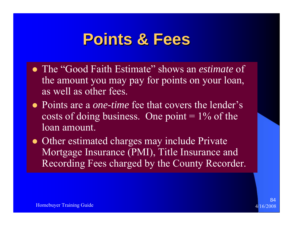### **Points & Fees Points & Fees**

- The "Good Faith Estimate" shows an *estimate* of the amount you may pay for points on your loan, as well as other fees.
- Points are a *one-time* fee that covers the lender's costs of doing business. One point  $= 1\%$  of the loan amount.
- Other estimated charges may include Private Mortgage Insurance (PMI), Title Insurance and Recording Fees charged by the County Recorder.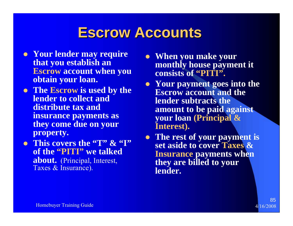### **Escrow Accounts Escrow Accounts**

- **Your lender may require that you establish an Escrow account when you obtain your loan.**
- **The Escrow is used by the lender to collect and distribute tax and insurance payments as they come due on your property.**
- z **This covers the "T" & "I" of the "PITI" we talked about.** (Principal, Interest, Taxes & Insurance).
- **When you make your monthly house payment it consists of "PITI".**
- Your payment goes into the **Escrow account and the lender subtracts the amount to be paid against your loan (Principal & Interest).**
- The rest of your payment is **set aside to cover Taxes & Insurance payments when they are billed to your lender.**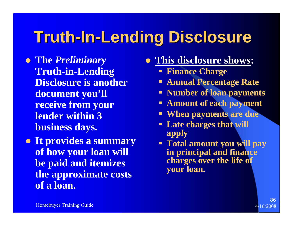## **Truth-In-Lending Disclosure Lending Disclosure**

z **The** *Preliminary*  **Truth-in-Lending Disclosure is another document you'll receive from your lender within 3 business days.**

**• It provides a summary of how your loan will be paid and itemizes the approximate costs of a loan.**

### **• This disclosure shows:**

- **Finance Charge**
- **Annual Percentage Rate**
- **Number of loan payments**
- **Amount of each payment**
- П **When payments are due**
- **Late charges that will apply**
- **Total amount you will pay in principal and finance charges over the life of your loan.**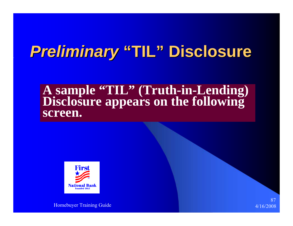### **Preliminary "TIL" Disclosure**

## **A sample "TIL" (Truth-in-Lending) Disclosure appears on the following screen.**



Homebuyer Training Guide 4/16/2008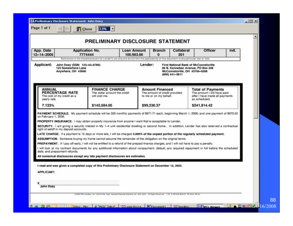|                                                                                                                                                                                                                                                                                                                                                                                                                                                                                                                                                                                                                    | PRELIMINARY DISCLOSURE STATEMENT                                                                                                                                          |                           |                                                                                   |                                                                                                                    |                                                                                                            | ٠     |
|--------------------------------------------------------------------------------------------------------------------------------------------------------------------------------------------------------------------------------------------------------------------------------------------------------------------------------------------------------------------------------------------------------------------------------------------------------------------------------------------------------------------------------------------------------------------------------------------------------------------|---------------------------------------------------------------------------------------------------------------------------------------------------------------------------|---------------------------|-----------------------------------------------------------------------------------|--------------------------------------------------------------------------------------------------------------------|------------------------------------------------------------------------------------------------------------|-------|
| App. Date<br>12-14-2005                                                                                                                                                                                                                                                                                                                                                                                                                                                                                                                                                                                            | Application No.<br>7774444<br>References in the shaded area are for Lender's use only and do not limit the applicability of this document to any particular loan or item. | Loan Amount<br>100.963.00 | <b>Branch</b><br>$\mathbf{0}$                                                     | Collateral<br>201                                                                                                  | <b>Officer</b>                                                                                             | Init. |
| Applicant:<br>John Doey (SSN: 123-45-6789)<br>123 Somewhere Lane<br>Anywhere, OH 43000                                                                                                                                                                                                                                                                                                                                                                                                                                                                                                                             |                                                                                                                                                                           | Lender:                   | (800) 441-3811                                                                    | <b>First National Bank of McConnelsville</b><br>86 N. Kennebec Avenue, PO Box 208<br>McConnelsville, OH 43756-0208 |                                                                                                            |       |
| <b>ANNUAL</b><br>PERCENTAGE RATE<br>The cost of my credit as a<br>yearly rate.                                                                                                                                                                                                                                                                                                                                                                                                                                                                                                                                     | <b>FINANCE CHARGE</b><br>The dollar amount the credit<br>will cost me.                                                                                                    |                           | <b>Amount Financed</b><br>The amount of credit provided<br>to me or on my behalf. |                                                                                                                    | <b>Total of Payments</b><br>The amount I will have paid<br>after I have made all payments<br>as scheduled. |       |
| 7.133%                                                                                                                                                                                                                                                                                                                                                                                                                                                                                                                                                                                                             | \$142,584.05                                                                                                                                                              | \$99,230.37               |                                                                                   |                                                                                                                    | \$241,814.42                                                                                               |       |
| PAYMENT SCHEDULE. My payment schedule will be 359 monthly payments of \$671.71 each, beginning March 1, 2006; and one payment of \$670.53<br>on February 1, 2036.<br>PROPERTY INSURANCE. I may obtain property insurance from anyone I want that is acceptable to Lender.<br>SECURITY. I am giving a security interest in My 1-4 unit residenitial dwelling or second home In addition, Lender has also reserved a contractual<br>right of setoff in my deposit accounts.<br>LATE CHARGE. If a payment is 15 days or more late, I will be charged 5.000% of the unpaid portion of the regularly scheduled payment. | ASSUMPTION. Someone buying my home cannot assume the remainder of the obligation on the original terms.                                                                   |                           |                                                                                   |                                                                                                                    |                                                                                                            |       |
| PREPAYMENT. If I pay off early, I will not be entitled to a refund of the prepaid finance charges, and I will not have to pay a penalty.<br>I will look at my contract documents for any additional information about nonpayment, default, any required repayment in full before the scheduled<br>date, and prepayment refunds.<br>All numerical disclosures except any late payment disclosures are estimates.                                                                                                                                                                                                    |                                                                                                                                                                           |                           |                                                                                   |                                                                                                                    |                                                                                                            |       |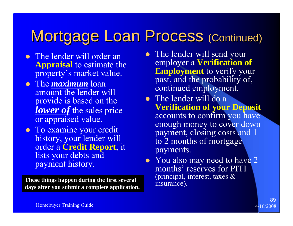### Mortgage Loan Process (Continued)

- The lender will order an **Appraisal** to estimate the property's market value.
- **•** The *maximum* loan amount the lender will provide is based on the *lower of* the sales price or appraised value.
- To examine your credit history, your lender will order a **Credit Report**; it lists your debts and payment history.

**These things happen during the first several days after you submit a complete application.**

- The lender will send your employer a **Verification of Employment** to verify your past, and the probability of, continued employment.
- $\bullet$  The lender will do a **Verification of your Deposit** accounts to confirm you have enough money to cover down payment, closing costs and 1 to 2 months of mortgage payments.
- You also may need to have 2 months' reserves for PITI (principal, interest, taxes & insurance).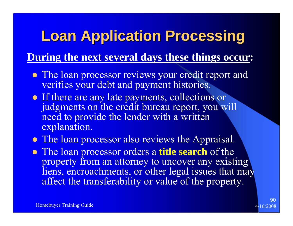### **Loan Application Processing Loan Application Processing**

### **During the next several days these things occur:**

- The loan processor reviews your credit report and verifies your debt and payment histories.
- If there are any late payments, collections or judgments on the credit bureau report, you will need to provide the lender with a written explanation.
- The loan processor also reviews the Appraisal.
- **The loan processor orders a title search** of the property from an attorney to uncover any existing liens, encroachments, or other legal issues that may affect the transferability or value of the property.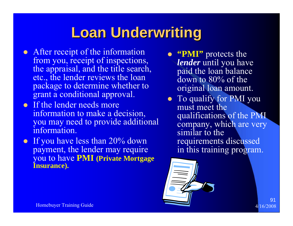### **Loan Underwriting Loan Underwriting**

- After receipt of the information from you, receipt of inspections, the appraisal, and the title search, etc., the lender reviews the loan package to determine whether to grant a conditional approval.
- $\bullet$  If the lender needs more information to make a decision, you may need to provide additional information.
- If you have less than  $20\%$  down payment, the lender may require you to have **PMI (Private Mortgage Insurance).**
- **"PMI"** protects the *lender* until you have paid the loan balance down to 80% of the original loan amount.
- To qualify for PMI you must meet the qualifications of the PMI company, which are very similar to the requirements discussed in this training program.

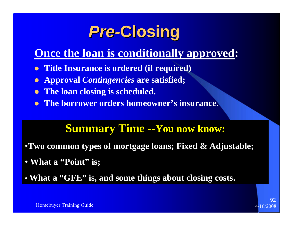## **Pre-Closing**

### **Once the loan is conditionally approved:**

- $\bullet$ **Title Insurance is ordered (if required)**
- $\bullet$ **Approval** *Contingencies* **are satisfied;**
- $\bullet$ **The loan closing is scheduled.**
- $\bullet$ **The borrower orders homeowner's insurance.**

### **Summary Time --You now know:**

- •**Two common types of mortgage loans; Fixed & Adjustable;**
- **What a "Point" is;**
- **What a "GFE" is, and some things about closing costs.**

Homebuyer Training Guide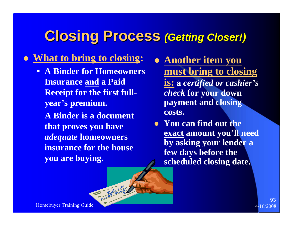### **Closing Process** *(Getting Closer!)*

### z **What to bring to closing:**

Ξ **A Binder for Homeowners Insurance and a Paid Receipt for the first fullyear's premium.**

**A Binder is a document that proves you have**  *adequate* **homeowners insurance for the house you are buying.**

- Thinks

- **Another item you must bring to closing is: <sup>a</sup>***certified or cashier's check* **for your down payment and closing costs.**
- You can find out the **exact amount you'll need by asking your lender a few days before the scheduled closing date.**

Homebuyer Training Guide 4/16/2008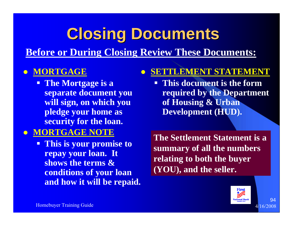## **Closing Documents Closing Documents**

**Before or During Closing Review These Documents:**

#### $\bullet$ **MORTGAGE**

 **The Mortgage is a separate document you will sign, on which you pledge your home as security for the loan.**

### z **MORTGAGE NOTE**

 **This is your promise to repay your loan. It shows the terms & conditions of your loan and how it will be repaid.**

#### $\bullet$ **SETTLEMENT STATEMENT**

 **This document is the form required by the Department of Housing & Urban Development (HUD).**

**The Settlement Statement is a summary of all the numbers relating to both the buyer (YOU), and the seller.**

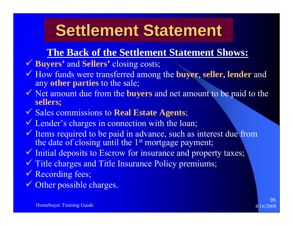## **Settlement Statement**

### **The Back of the Settlement Statement Shows:**

- 9 **Buyers'** and **Sellers'** closing costs;
- 9 How funds were transferred among the **buyer**, **seller, lender** and any **other parties** to the sale;
- 9 Net amount due from the **buyers** and net amount to be paid to the **sellers;**
- 9 Sales commissions to **Real Estate Agents**;
- Cender's charges in connection with the loan;
- $\checkmark$  Items required to be paid in advance, such as interest due from the date of closing until the 1<sup>st</sup> mortgage payment;
- $\checkmark$  Initial deposits to Escrow for insurance and property taxes;
- $\checkmark$  Title charges and Title Insurance Policy premiums;
- ◆ Recording fees;
- $\checkmark$ Other possible charges.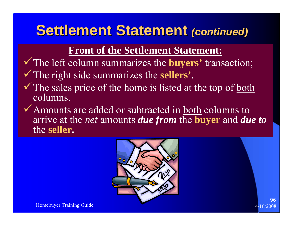### **Settlement Statement (continued)**

### **Front of the Settlement Statement:**

- <sup>9</sup>The left column summarizes the **buyers'** transaction; <sup>9</sup>The right side summarizes the **sellers'**.
- $\checkmark$  The sales price of the home is listed at the top of both columns.
- $\checkmark$  Amounts are added or subtracted in both columns to arrive at the *net* amounts *due from* the **buyer** and *due to* the **seller.**

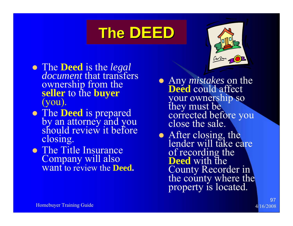## The DEED

- The **Deed** is the *legal* document that transfers **ownership from the** seller to the **buyer**<br>(you).
- The **Deed** is prepared<br>by an attorney and you<br>should review it before closing.
- The Title Insurance Company will also want to review the **Deed.**
- Any *mistakes* on the **Deed** could affect your ownership so they must be corrected before you close the sale.
- After closing, the lender will take care of recording the **Deed** with the County Recorder in<br>the county where the<br>property is located.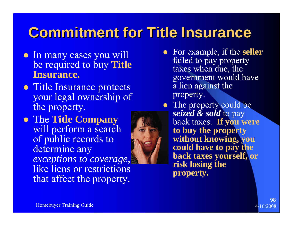### **Commitment for Title Insurance Commitment for Title Insurance**

- In many cases you will be required to buy **Title Insurance.**
- Title Insurance protects your legal ownership of the property.
- **The Title Company** will perform a search of public records to determine any *exceptions to coverage*, like liens or restrictions that affect the property.



• The property could be *seized & sold* to pay back taxes. **If you were to buy the property without knowing, you could have to pay the back taxes yourself, or risk losing the property.**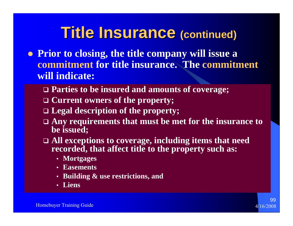### **Title Insurance (continued)**

- **Prior to closing, the title company will issue a commitment for title insurance. The commitment will indicate:**
	- **Parties to be insured and amounts of coverage;**
	- **Current owners of the property;**
	- **Legal description of the property;**
	- **Any requirements that must be met for the insurance to be issued;**
	- **All exceptions to coverage, including items that need recorded, that affect title to the property such as:**
		- **Mortgages**
		- **Easements**
		- **Building & use restrictions, and**
		- **Liens**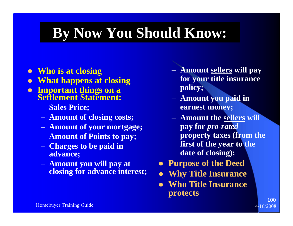### **By Now You Should Know:**

- z **Who is at closing**
- $\bullet$ **What happens at closing**
- $\bullet$  **Important things on a Settlement Statement:**
	- **Sales Price;**
	- **Amount of closing costs;**
	- **Amount of your mortgage;**
	- **Amount of Points to pay;**
	- **Charges to be paid in advance;**
	- **Amount you will pay at closing for advance interest;**
- **Amount sellers will pay for your title insurance policy;**
- **Amount you paid in earnest money;**
- **Amount the sellers will pay for** *pro-rated*  **property taxes (from the first of the year to the date of closing);**

- $\bullet$ **Purpose of the Deed**
- $\bullet$ **Why Title Insurance**
- $\bullet$  **Who Title Insurance protects**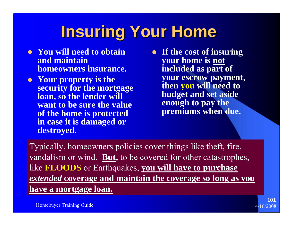# **Insuring Your Home Insuring Your Home**

- You will need to obtain **and maintain homeowners insurance.**
- Your property is the **security for the mortgage loan, so the lender will want to be sure the value of the home is protected in case it is damaged or destroyed.**
- **•** If the cost of insuring **your home is not included as part of your escrow payment, then you will need to budget and set aside enough to pay the premiums when due.**

Typically, homeowners policies cover things like theft, fire, vandalism or wind. **But,** to be covered for other catastrophes, like **FLOODS** or Earthquakes, **you will have to purchase**  *extended* **coverage and maintain the coverage so long as you have a mortgage loan.**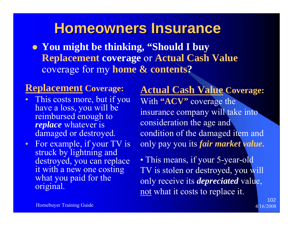### **Homeowners Insurance Homeowners Insurance**

**• You might be thinking, "Should I buy Replacement coverage** or **Actual Cash Value** coverage for my **home & contents ?**

### **Replacement Coverage:**

- $\bullet$  This costs more, but if you have a loss, you will be reimbursed enough to *replace* whatever is damaged or destroyed.
- • For example, if your TV is struck by lightning and destroyed, you can replace it with a new one costing what you paid for the original.

**Actual Cash Value Coverage:**  With **"ACV"** coverage the insurance company will take into consideration the age and condition of the damaged item and only pay you its *fair market value.*

• This means, if your 5-year-old TV is stolen or destroyed, you will only receive its *depreciated* value, not what it costs to replace it.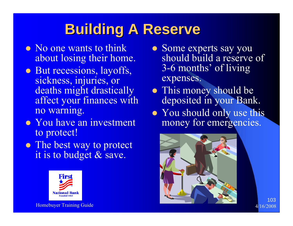### **Building A Reserve Building A Reserve**

- No one wants to think about losing their home.
- But recessions, layoffs, sickness, injuries, or deaths might drastically affect your finances with no warning.
- You have an investment to protect!
- The best way to protect it is to budget & save.



- Some experts say you should build a reserve of 3-6 months' of living expenses.
- This money should be deposited in your Bank.
- You should only use this money for emergencies.

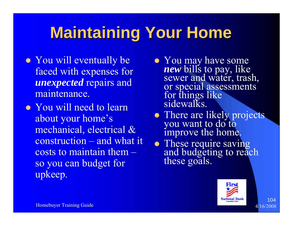# **Maintaining Your Home Maintaining Your Home**

- You will eventually be faced with expenses for *unexpected* repairs and maintenance.
- You will need to learn about your home's mechanical, electrical & construction – and what it costs to maintain them – so you can budget for upkeep.
- You may have some *new*sewer and water, trash, or special assessments<br>for things like<br>sidewalks.
- There are likely projects you want to do to improve the home.
- These require saving and budgeting to reach these goals.

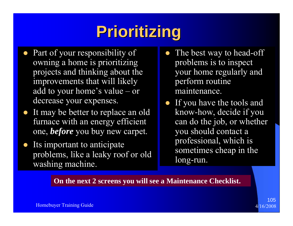# **Prioritizing Prioritizing**

- $\bullet$ Part of your responsibility of owning a home is prioritizing projects and thinking about the improvements that will likely add to your home's value – or decrease your expenses.
- $\bullet$  It may be better to replace an old furnace with an energy efficient one, *before* you buy new carpet.
- $\bullet$  Its important to anticipate problems, like a leaky roof or old washing machine.
- $\bullet$ The best way to head-off problems is to inspect your home regularly and perform routine maintenance.
- If you have the tools and know-how, decide if you can do the job, or whether you should contact a professional, which is sometimes cheap in the long-run.

**On the next 2 screens you will see a Maintenance Checklist.**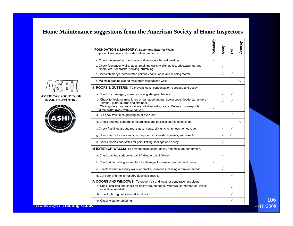#### **Home Maintenance suggestions from the American Society of Home Inspectors**

| <b>FOUNDATION &amp; MASONRY: Basement, Exterior Walls</b><br>To prevent seepage and condensation problems.                                                                         | Periodically | Spring     | 同          |  |
|------------------------------------------------------------------------------------------------------------------------------------------------------------------------------------|--------------|------------|------------|--|
| a. Check basement for dampness and leakage after wet weather.                                                                                                                      | $\sqrt{}$    |            |            |  |
| b. Check foundation walls, steps, retaining walls, walks, patios, driveways, garage<br>floors, etc., for cracks, heaving, crumbling.                                               |              | $\sqrt{}$  |            |  |
| c. Check chimneys, deteriorated chimney caps, loose and missing mortar.                                                                                                            |              | $\sqrt{}$  | $\sqrt{ }$ |  |
| d. Maintain grading sloped away from foundations walls.                                                                                                                            |              |            |            |  |
| II ROOFS & GUTTERS: To prevent leaks, condensation, seepage and decay.                                                                                                             |              |            |            |  |
| a. Check for damaged, loose or missing shingles, blisters.                                                                                                                         |              | $\sqrt{}$  | $\sqrt{ }$ |  |
| b. Check for leaking, misaligned or damaged gutters, downspouts (leaders), hangers<br>(straps), gutter guards and strainers.                                                       |              | $\sqrt{ }$ | $\sqrt{}$  |  |
| c. Clean gutters, leaders, strainers, window wells, drains. Be sure downspouts<br>direct water away from foundation.                                                               | $\sqrt{ }$   |            |            |  |
| d. Cut back tree limbs growing on or over roof.                                                                                                                                    |              |            | $\sqrt{ }$ |  |
| e. Check antenna supports for sturdiness and possible source of leakage.'                                                                                                          |              |            |            |  |
| f. Check flashings around roof stacks, vents, skylights, chimneys. for leakage.                                                                                                    |              | $\sqrt{}$  | $\sqrt{ }$ |  |
| g. Check vents, louvers and chimneys for birds' nests, squirrels, and insects.                                                                                                     |              | $\sqrt{ }$ | $\sqrt{}$  |  |
| h. Check fascias and soffits for paint flaking, leakage and decay.                                                                                                                 |              | $\sqrt{ }$ |            |  |
| III EXTERIOR WALLS: To prevent paint failure, decay and moisture penetration.                                                                                                      |              |            |            |  |
| a. Check painted surface for paint flaking or paint failure.                                                                                                                       |              | $\sqrt{ }$ |            |  |
| b. Check siding, shingles and trim for damage, looseness, warping and decay.                                                                                                       | $\sqrt{ }$   |            |            |  |
| c. Check exterior masonry walls for cracks, looseness, missing or broken mortar.                                                                                                   |              | $\sqrt{ }$ |            |  |
| d. Cut back and trim shrubbery against sidewalls.                                                                                                                                  |              | $\sqrt{}$  | $\sqrt{ }$ |  |
| IV DOORS AND WINDOWS: To prevent air and weather penetration problems<br>a. Check caulking and check for decay around doors, windows, corner boards, joints:<br>recaulk as needed. |              |            | $\sqrt{}$  |  |
| b. Check glazing putty around windows.                                                                                                                                             |              |            | $\sqrt{}$  |  |
|                                                                                                                                                                                    |              |            | $\sqrt{}$  |  |



**AMERICAN SOCIETY** 

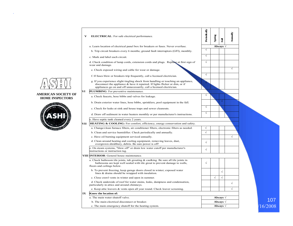

#### **AMERICAN SOCIETY OF HOME INSPECTORS**



|                            | V   | <b>ELECTRICAL:</b> For safe electrical performance.                                                                                                                                                                                           | Periodically | Spring     | Fall              | Annually  |         |
|----------------------------|-----|-----------------------------------------------------------------------------------------------------------------------------------------------------------------------------------------------------------------------------------------------|--------------|------------|-------------------|-----------|---------|
|                            |     | a. Learn location of electrical panel box for breakers or fuses. Never overfuse.                                                                                                                                                              |              |            | Always $\sqrt{}$  |           |         |
|                            |     | b. Trip circuit breakers every 6 months; ground fault interruptors (GFI), monthly.                                                                                                                                                            | $\sqrt{}$    |            |                   |           |         |
|                            |     | c. Mark and label each circuit.                                                                                                                                                                                                               | $\sqrt{ }$   |            |                   |           |         |
|                            |     | d. Check condition of lamp cords, extension cords and plugs. Replace at first sign of<br>wear and damage.                                                                                                                                     | $\sqrt{ }$   |            |                   |           |         |
|                            |     | e. Check exposed wiring and cable for wear or damage.                                                                                                                                                                                         |              |            |                   | $\sqrt{}$ |         |
|                            |     | f. If fuses blow or breakers trip frequently, call a licensed electrician.                                                                                                                                                                    | $\sqrt{ }$   |            |                   |           |         |
|                            |     | g. If you experience slight tingling shock from handling or touching an appliance,<br>disconnect the appliance $\&$ have it repaired. If lights flicker or dim, or if<br>appliances go on and off unnecessarily, call a licensed electrician. |              |            |                   |           |         |
| <b>AMERICAN SOCIETY OF</b> | VI  | <b>PLUMBING</b> : For preventive maintenance.                                                                                                                                                                                                 |              |            |                   |           |         |
| <b>HOME INSPECTORS</b>     |     | a. Check faucets, hose bibbs and valves for leakage.                                                                                                                                                                                          | $\sqrt{ }$   |            |                   |           |         |
| <b>NUMBER 18</b>           |     | b. Drain exterior water lines, hose bibbs, sprinklers, pool equipment in the fall.                                                                                                                                                            |              |            |                   |           |         |
|                            |     | c. Check for leaks at sink and house traps and sewer cleanouts.                                                                                                                                                                               | $\sqrt{ }$   |            |                   |           |         |
|                            |     | d. Draw off sediment in water heaters monthly or per manufacturer's instructions.                                                                                                                                                             | $\sqrt{ }$   |            |                   |           |         |
|                            |     | e. Have septic tank cleaned every 2 years.                                                                                                                                                                                                    |              |            |                   |           |         |
|                            | VII | <b>HEATING &amp; COOLING:</b> For comfort, efficiency, energy conservation and safety.                                                                                                                                                        |              |            |                   |           |         |
|                            |     | a. Change/clean furnace filters, air conditioner filters, electronic filters as needed.                                                                                                                                                       | $\sqrt{ }$   |            |                   |           |         |
|                            |     | b. Clean and service humidifier. Check periodically and annually.                                                                                                                                                                             | $\sqrt{ }$   |            |                   |           |         |
|                            |     | c. Have oil burning equipment serviced annually.                                                                                                                                                                                              |              |            |                   | $\sqrt{}$ |         |
|                            |     | d. Clean around heating and cooling equipment, removing leaves, dust,<br>overgrown shrubbery, debris. Be sure power is off!                                                                                                                   | $\sqrt{ }$   |            |                   |           |         |
|                            |     | e. On steam systems, "blow off" or drain low water cutoff per manufacturer's<br>instructions or instruction tag.                                                                                                                              | $\sqrt{ }$   |            |                   |           |         |
|                            |     | <b>VIII INTERIOR:</b> General house maintenance.                                                                                                                                                                                              |              |            |                   |           |         |
|                            |     | a. Check bathroom tile joints, tub grouting $\&$ caulking. Be sure all tile joints in<br>bathrooms are kept well sealed with tile grout to prevent damage to walls,<br>floors and ceilings below.                                             | $\sqrt{ }$   |            |                   |           |         |
|                            |     | b. To prevent freezing, keep garage doors closed in winter; exposed water<br>lines & drains should be wrapped with insulation.                                                                                                                |              |            | $\sqrt{ }$        |           |         |
|                            |     | c. Close crawl vents in winter and open in summer.                                                                                                                                                                                            |              | $\sqrt{ }$ | $\sqrt{ }$        |           |         |
|                            |     | d. Check underside of roof for water stains, leaks, dampness and condensation,<br>particularly in attics and around chimneys.                                                                                                                 |              |            |                   | $\sqrt{}$ |         |
|                            |     | e. Keep attic louvers & vents open all year round. Check louver screening.                                                                                                                                                                    |              |            |                   | $\sqrt{}$ |         |
|                            | IX  | Know the location of:                                                                                                                                                                                                                         |              |            |                   |           |         |
|                            |     | a. The main water shutoff valve.                                                                                                                                                                                                              |              |            | Always $\sqrt{ }$ |           |         |
|                            |     | b. The main electrical disconnect or breaker.                                                                                                                                                                                                 |              |            | Always $\sqrt{ }$ |           | 107     |
|                            |     | c. The main emergency shutoff for the heating system.                                                                                                                                                                                         |              |            | Always $\sqrt{ }$ |           | 16/2008 |
|                            |     |                                                                                                                                                                                                                                               |              |            |                   |           |         |

 $\sqrt{16/2008}$ 107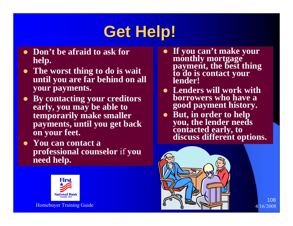## **Get Help! Get Help!**

- Don't be afraid to ask for **help.**
- The worst thing to do is wait **until you are far behind on all your payments.**
- **By contacting your creditors early, you may be able to temporarily make smaller payments, until you get back on your feet.**
- You can contact a **professional counselor** if **you need help.**



- $\bullet$ **If you can't make your monthly mortgage payment, the best thing to do is contact your lender!**
- **Lenders will work with borrowers who have a good payment history.**
- · But, in order to help **But, the lender needs<br>contacted early, to<br>discuss different options.**